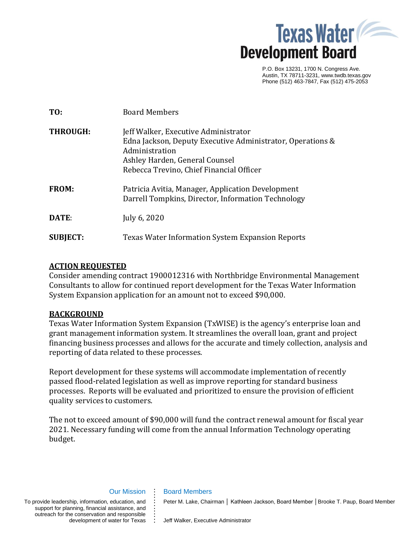

P.O. Box 13231, 1700 N. Congress Ave. Austin, TX 78711-3231, www.twdb.texas.gov Phone (512) 463-7847, Fax (512) 475-2053

| TO:             | <b>Board Members</b>                                                                                                                                                                               |
|-----------------|----------------------------------------------------------------------------------------------------------------------------------------------------------------------------------------------------|
| <b>THROUGH:</b> | Jeff Walker, Executive Administrator<br>Edna Jackson, Deputy Executive Administrator, Operations &<br>Administration<br>Ashley Harden, General Counsel<br>Rebecca Trevino, Chief Financial Officer |
| <b>FROM:</b>    | Patricia Avitia, Manager, Application Development<br>Darrell Tompkins, Director, Information Technology                                                                                            |
| DATE:           | July 6, 2020                                                                                                                                                                                       |
| <b>SUBJECT:</b> | <b>Texas Water Information System Expansion Reports</b>                                                                                                                                            |

### **ACTION REQUESTED**

Consider amending contract 1900012316 with Northbridge Environmental Management Consultants to allow for continued report development for the Texas Water Information System Expansion application for an amount not to exceed \$90,000.

### **BACKGROUND**

Texas Water Information System Expansion (TxWISE) is the agency's enterprise loan and grant management information system. It streamlines the overall loan, grant and project financing business processes and allows for the accurate and timely collection, analysis and reporting of data related to these processes.

Report development for these systems will accommodate implementation of recently passed flood-related legislation as well as improve reporting for standard business processes. Reports will be evaluated and prioritized to ensure the provision of efficient quality services to customers.

The not to exceed amount of \$90,000 will fund the contract renewal amount for fiscal year 2021. Necessary funding will come from the annual Information Technology operating budget.

#### Our Mission **. . . .**

**. . . . . .**

To provide leadership, information, education, and support for planning, financial assistance, and outreach for the conservation and responsible ie conservation and responsible <u>;</u><br>development of water for Texas **:**  Board Members